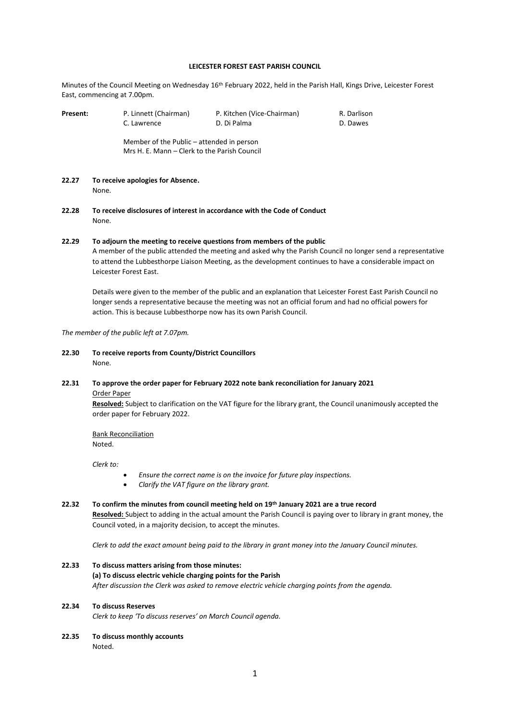#### **LEICESTER FOREST EAST PARISH COUNCIL**

Minutes of the Council Meeting on Wednesday 16<sup>th</sup> February 2022, held in the Parish Hall, Kings Drive, Leicester Forest East, commencing at 7.00pm.

| Present: | P. Linnett (Chairman)<br>C. Lawrence      | P. Kitchen (Vice-Chairman)<br>D. Di Palma | R. Darlison<br>D. Dawes |  |
|----------|-------------------------------------------|-------------------------------------------|-------------------------|--|
|          | Member of the Public – attended in person |                                           |                         |  |

**22.27 To receive apologies for Absence.** None.

**22.28 To receive disclosures of interest in accordance with the Code of Conduct** None.

Mrs H. E. Mann – Clerk to the Parish Council

# **22.29 To adjourn the meeting to receive questions from members of the public** A member of the public attended the meeting and asked why the Parish Council no longer send a representative to attend the Lubbesthorpe Liaison Meeting, as the development continues to have a considerable impact on Leicester Forest East.

Details were given to the member of the public and an explanation that Leicester Forest East Parish Council no longer sends a representative because the meeting was not an official forum and had no official powers for action. This is because Lubbesthorpe now has its own Parish Council.

*The member of the public left at 7.07pm.*

**22.30 To receive reports from County/District Councillors**  None.

# **22.31 To approve the order paper for February 2022 note bank reconciliation for January 2021**

Order Paper

**Resolved:** Subject to clarification on the VAT figure for the library grant, the Council unanimously accepted the order paper for February 2022.

Bank Reconciliation Noted.

*Clerk to:*

- *Ensure the correct name is on the invoice for future play inspections.*
- *Clarify the VAT figure on the library grant.*
- **22.32 To confirm the minutes from council meeting held on 19th January 2021 are a true record Resolved:** Subject to adding in the actual amount the Parish Council is paying over to library in grant money, the Council voted, in a majority decision, to accept the minutes.

*Clerk to add the exact amount being paid to the library in grant money into the January Council minutes.*

**22.33 To discuss matters arising from those minutes: (a) To discuss electric vehicle charging points for the Parish** *After discussion the Clerk was asked to remove electric vehicle charging points from the agenda.*

# **22.34 To discuss Reserves**

*Clerk to keep 'To discuss reserves' on March Council agenda.*

**22.35 To discuss monthly accounts** Noted.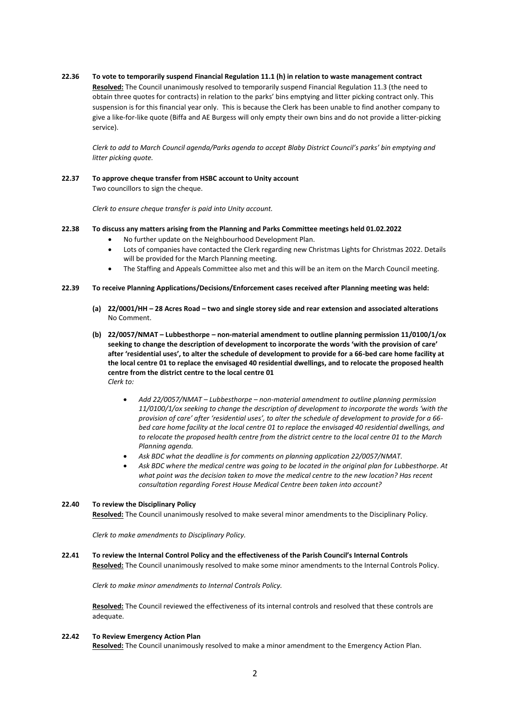**22.36 To vote to temporarily suspend Financial Regulation 11.1 (h) in relation to waste management contract**

**Resolved:** The Council unanimously resolved to temporarily suspend Financial Regulation 11.3 (the need to obtain three quotes for contracts) in relation to the parks' bins emptying and litter picking contract only. This suspension is for this financial year only. This is because the Clerk has been unable to find another company to give a like-for-like quote (Biffa and AE Burgess will only empty their own bins and do not provide a litter-picking service).

*Clerk to add to March Council agenda/Parks agenda to accept Blaby District Council's parks' bin emptying and litter picking quote.*

**22.37 To approve cheque transfer from HSBC account to Unity account** Two councillors to sign the cheque.

*Clerk to ensure cheque transfer is paid into Unity account.*

### **22.38 To discuss any matters arising from the Planning and Parks Committee meetings held 01.02.2022**

- No further update on the Neighbourhood Development Plan.
- Lots of companies have contacted the Clerk regarding new Christmas Lights for Christmas 2022. Details will be provided for the March Planning meeting.
- The Staffing and Appeals Committee also met and this will be an item on the March Council meeting.
- **22.39 To receive Planning Applications/Decisions/Enforcement cases received after Planning meeting was held:**
	- **(a) 22/0001/HH – 28 Acres Road – two and single storey side and rear extension and associated alterations** No Comment.
	- **(b) 22/0057/NMAT – Lubbesthorpe – non-material amendment to outline planning permission 11/0100/1/ox seeking to change the description of development to incorporate the words 'with the provision of care' after 'residential uses', to alter the schedule of development to provide for a 66-bed care home facility at the local centre 01 to replace the envisaged 40 residential dwellings, and to relocate the proposed health centre from the district centre to the local centre 01** *Clerk to:*
		- *Add 22/0057/NMAT – Lubbesthorpe – non-material amendment to outline planning permission 11/0100/1/ox seeking to change the description of development to incorporate the words 'with the provision of care' after 'residential uses', to alter the schedule of development to provide for a 66 bed care home facility at the local centre 01 to replace the envisaged 40 residential dwellings, and to relocate the proposed health centre from the district centre to the local centre 01 to the March Planning agenda.*
		- *Ask BDC what the deadline is for comments on planning application 22/0057/NMAT.*
		- *Ask BDC where the medical centre was going to be located in the original plan for Lubbesthorpe. At what point was the decision taken to move the medical centre to the new location? Has recent consultation regarding Forest House Medical Centre been taken into account?*

#### **22.40 To review the Disciplinary Policy**

**Resolved:** The Council unanimously resolved to make several minor amendments to the Disciplinary Policy.

*Clerk to make amendments to Disciplinary Policy.*

#### **22.41 To review the Internal Control Policy and the effectiveness of the Parish Council's Internal Controls**

**Resolved:** The Council unanimously resolved to make some minor amendments to the Internal Controls Policy.

*Clerk to make minor amendments to Internal Controls Policy.*

**Resolved:** The Council reviewed the effectiveness of its internal controls and resolved that these controls are adequate.

#### **22.42 To Review Emergency Action Plan**

**Resolved:** The Council unanimously resolved to make a minor amendment to the Emergency Action Plan.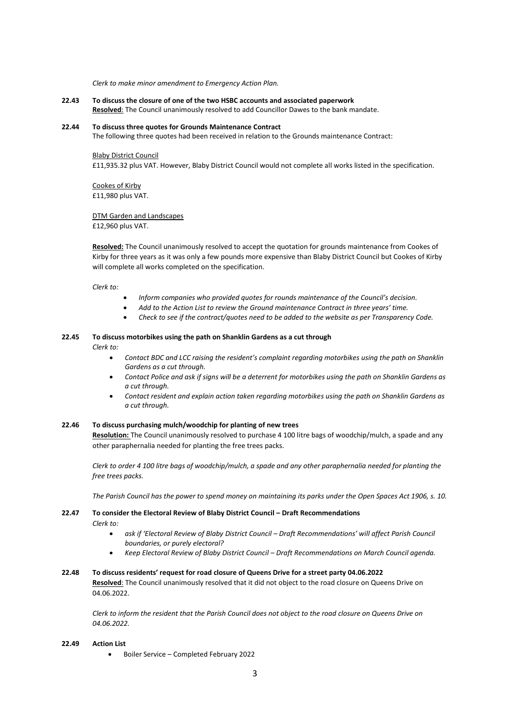*Clerk to make minor amendment to Emergency Action Plan.*

**22.43 To discuss the closure of one of the two HSBC accounts and associated paperwork Resolved**: The Council unanimously resolved to add Councillor Dawes to the bank mandate.

#### **22.44 To discuss three quotes for Grounds Maintenance Contract**

The following three quotes had been received in relation to the Grounds maintenance Contract:

#### Blaby District Council

£11,935.32 plus VAT. However, Blaby District Council would not complete all works listed in the specification.

Cookes of Kirby £11,980 plus VAT.

DTM Garden and Landscapes £12,960 plus VAT.

**Resolved:** The Council unanimously resolved to accept the quotation for grounds maintenance from Cookes of Kirby for three years as it was only a few pounds more expensive than Blaby District Council but Cookes of Kirby will complete all works completed on the specification.

*Clerk to:*

- *Inform companies who provided quotes for rounds maintenance of the Council's decision.*
- *Add to the Action List to review the Ground maintenance Contract in three years' time.*
- *Check to see if the contract/quotes need to be added to the website as per Transparency Code.*

#### **22.45 To discuss motorbikes using the path on Shanklin Gardens as a cut through** *Clerk to:*

- - *Contact BDC and LCC raising the resident's complaint regarding motorbikes using the path on Shanklin Gardens as a cut through.*
	- *Contact Police and ask if signs will be a deterrent for motorbikes using the path on Shanklin Gardens as a cut through.*
	- *Contact resident and explain action taken regarding motorbikes using the path on Shanklin Gardens as a cut through.*

### **22.46 To discuss purchasing mulch/woodchip for planting of new trees**

**Resolution:** The Council unanimously resolved to purchase 4 100 litre bags of woodchip/mulch, a spade and any other paraphernalia needed for planting the free trees packs.

*Clerk to order 4 100 litre bags of woodchip/mulch, a spade and any other paraphernalia needed for planting the free trees packs.*

*The Parish Council has the power to spend money on maintaining its parks under the Open Spaces Act 1906, s. 10.*

**22.47 To consider the Electoral Review of Blaby District Council – Draft Recommendations** *Clerk to:*

- *ask if 'Electoral Review of Blaby District Council – Draft Recommendations' will affect Parish Council boundaries, or purely electoral?*
- *Keep Electoral Review of Blaby District Council – Draft Recommendations on March Council agenda.*

# **22.48 To discuss residents' request for road closure of Queens Drive for a street party 04.06.2022 Resolved**: The Council unanimously resolved that it did not object to the road closure on Queens Drive on 04.06.2022.

*Clerk to inform the resident that the Parish Council does not object to the road closure on Queens Drive on 04.06.2022.*

#### **22.49 Action List**

• Boiler Service – Completed February 2022